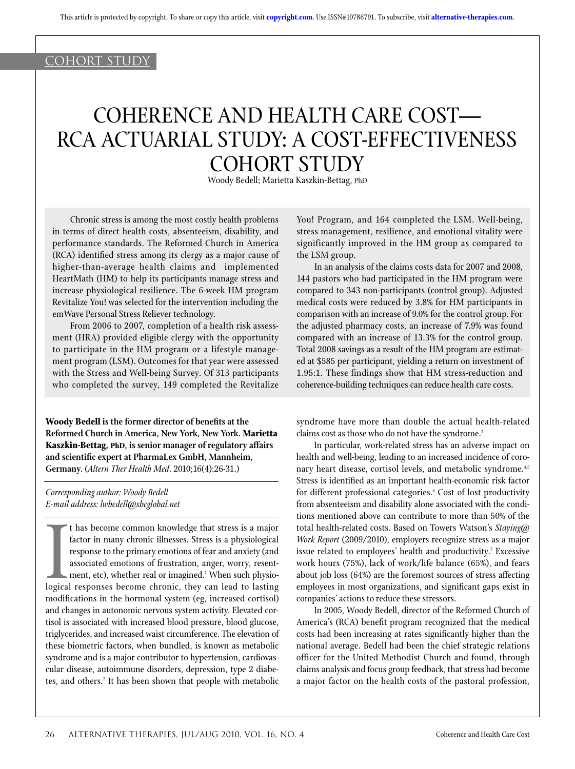## COHORT STUDY

# Coherence and Health Care Cost— RCA Actuarial Study: A Cost-Effectiveness COHORT STUDY

Woody Bedell; Marietta Kaszkin-Bettag, PhD

Chronic stress is among the most costly health problems in terms of direct health costs, absenteeism, disability, and performance standards. The Reformed Church in America (RCA) identified stress among its clergy as a major cause of higher-than-average health claims and implemented HeartMath (HM) to help its participants manage stress and increase physiological resilience. The 6-week HM program Revitalize You! was selected for the intervention including the emWave Personal Stress Reliever technology.

From 2006 to 2007, completion of a health risk assessment (HRA) provided eligible clergy with the opportunity to participate in the HM program or a lifestyle management program (LSM). Outcomes for that year were assessed with the Stress and Well-being Survey. Of 313 participants who completed the survey, 149 completed the Revitalize

**Woody Bedell is the former director of benefits at the Reformed Church in America, New York, New York. Marietta Kaszkin-Bettag, PhD, is senior manager of regulatory affairs and scientific expert at PharmaLex GmbH, Mannheim, Germany.** (*Altern Ther Health Med*. 2010;16(4):26-31.)

*Corresponding author: Woody Bedell E-mail address: lwbedell@sbcglobal.net*

I thas become common knowledge that stress is a major<br>factor in many chronic illnesses. Stress is a physiological<br>response to the primary emotions of fear and anxiety (and<br>associated emotions of frustration, anger, worry, t has become common knowledge that stress is a major factor in many chronic illnesses. Stress is a physiological response to the primary emotions of fear and anxiety (and associated emotions of frustration, anger, worry, resentment, etc), whether real or imagined.<sup>1</sup> When such physiomodifications in the hormonal system (eg, increased cortisol) and changes in autonomic nervous system activity. Elevated cortisol is associated with increased blood pressure, blood glucose, triglycerides, and increased waist circumference. The elevation of these biometric factors, when bundled, is known as metabolic syndrome and is a major contributor to hypertension, cardiovascular disease, autoimmune disorders, depression, type 2 diabetes, and others.<sup>2</sup> It has been shown that people with metabolic You! Program, and 164 completed the LSM. Well-being, stress management, resilience, and emotional vitality were significantly improved in the HM group as compared to the LSM group.

In an analysis of the claims costs data for 2007 and 2008, 144 pastors who had participated in the HM program were compared to 343 non-participants (control group). Adjusted medical costs were reduced by 3.8% for HM participants in comparison with an increase of 9.0% for the control group. For the adjusted pharmacy costs, an increase of 7.9% was found compared with an increase of 13.3% for the control group. Total 2008 savings as a result of the HM program are estimated at \$585 per participant, yielding a return on investment of 1.95:1. These findings show that HM stress-reduction and coherence-building techniques can reduce health care costs.

syndrome have more than double the actual health-related claims cost as those who do not have the syndrome.<sup>3</sup>

In particular, work-related stress has an adverse impact on health and well-being, leading to an increased incidence of coronary heart disease, cortisol levels, and metabolic syndrome.<sup>4,5</sup> Stress is identified as an important health-economic risk factor for different professional categories.<sup>6</sup> Cost of lost productivity from absenteeism and disability alone associated with the conditions mentioned above can contribute to more than 50% of the total health-related costs. Based on Towers Watson's *Staying@ Work Report* (2009/2010), employers recognize stress as a major issue related to employees' health and productivity.<sup>7</sup> Excessive work hours (75%), lack of work/life balance (65%), and fears about job loss (64%) are the foremost sources of stress affecting employees in most organizations, and significant gaps exist in companies' actions to reduce these stressors.

In 2005, Woody Bedell, director of the Reformed Church of America's (RCA) benefit program recognized that the medical costs had been increasing at rates significantly higher than the national average. Bedell had been the chief strategic relations officer for the United Methodist Church and found, through claims analysis and focus group feedback, that stress had become a major factor on the health costs of the pastoral profession,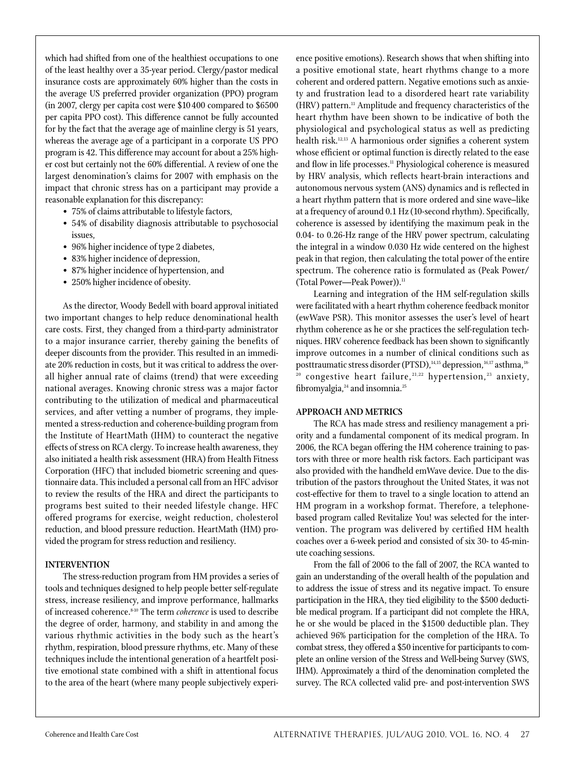which had shifted from one of the healthiest occupations to one of the least healthy over a 35-year period. Clergy/pastor medical insurance costs are approximately 60% higher than the costs in the average US preferred provider organization (PPO) program (in 2007, clergy per capita cost were \$10400 compared to \$6500 per capita PPO cost). This difference cannot be fully accounted for by the fact that the average age of mainline clergy is 51 years, whereas the average age of a participant in a corporate US PPO program is 42. This difference may account for about a 25% higher cost but certainly not the 60% differential. A review of one the largest denomination's claims for 2007 with emphasis on the impact that chronic stress has on a participant may provide a reasonable explanation for this discrepancy:

- 75% of claims attributable to lifestyle factors,
- 54% of disability diagnosis attributable to psychosocial issues,
- 96% higher incidence of type 2 diabetes,
- 83% higher incidence of depression,
- 87% higher incidence of hypertension, and
- 250% higher incidence of obesity.

As the director, Woody Bedell with board approval initiated two important changes to help reduce denominational health care costs. First, they changed from a third-party administrator to a major insurance carrier, thereby gaining the benefits of deeper discounts from the provider. This resulted in an immediate 20% reduction in costs, but it was critical to address the overall higher annual rate of claims (trend) that were exceeding national averages. Knowing chronic stress was a major factor contributing to the utilization of medical and pharmaceutical services, and after vetting a number of programs, they implemented a stress-reduction and coherence-building program from the Institute of HeartMath (IHM) to counteract the negative effects of stress on RCA clergy. To increase health awareness, they also initiated a health risk assessment (HRA) from Health Fitness Corporation (HFC) that included biometric screening and questionnaire data. This included a personal call from an HFC advisor to review the results of the HRA and direct the participants to programs best suited to their needed lifestyle change. HFC offered programs for exercise, weight reduction, cholesterol reduction, and blood pressure reduction. HeartMath (HM) provided the program for stress reduction and resiliency.

## **Intervention**

The stress-reduction program from HM provides a series of tools and techniques designed to help people better self-regulate stress, increase resiliency, and improve performance, hallmarks of increased coherence.8-10 The term *coherence* is used to describe the degree of order, harmony, and stability in and among the various rhythmic activities in the body such as the heart's rhythm, respiration, blood pressure rhythms, etc. Many of these techniques include the intentional generation of a heartfelt positive emotional state combined with a shift in attentional focus to the area of the heart (where many people subjectively experience positive emotions). Research shows that when shifting into a positive emotional state, heart rhythms change to a more coherent and ordered pattern. Negative emotions such as anxiety and frustration lead to a disordered heart rate variability (HRV) pattern.<sup>11</sup> Amplitude and frequency characteristics of the heart rhythm have been shown to be indicative of both the physiological and psychological status as well as predicting health risk.12,13 A harmonious order signifies a coherent system whose efficient or optimal function is directly related to the ease and flow in life processes.<sup>11</sup> Physiological coherence is measured by HRV analysis, which reflects heart-brain interactions and autonomous nervous system (ANS) dynamics and is reflected in a heart rhythm pattern that is more ordered and sine wave–like at a frequency of around 0.1 Hz (10-second rhythm). Specifically, coherence is assessed by identifying the maximum peak in the 0.04- to 0.26-Hz range of the HRV power spectrum, calculating the integral in a window 0.030 Hz wide centered on the highest peak in that region, then calculating the total power of the entire spectrum. The coherence ratio is formulated as (Peak Power/ (Total Power—Peak Power)).<sup>11</sup>

Learning and integration of the HM self-regulation skills were facilitated with a heart rhythm coherence feedback monitor (ewWave PSR). This monitor assesses the user's level of heart rhythm coherence as he or she practices the self-regulation techniques. HRV coherence feedback has been shown to significantly improve outcomes in a number of clinical conditions such as posttraumatic stress disorder (PTSD),<sup>14,15</sup> depression,<sup>16,17</sup> asthma,<sup>18-</sup>  $20$  congestive heart failure,  $21,22$  hypertension,  $23$  anxiety, fibromyalgia,<sup>24</sup> and insomnia.<sup>25</sup>

### **Approach and Metrics**

The RCA has made stress and resiliency management a priority and a fundamental component of its medical program. In 2006, the RCA began offering the HM coherence training to pastors with three or more health risk factors. Each participant was also provided with the handheld emWave device. Due to the distribution of the pastors throughout the United States, it was not cost-effective for them to travel to a single location to attend an HM program in a workshop format. Therefore, a telephonebased program called Revitalize You! was selected for the intervention. The program was delivered by certified HM health coaches over a 6-week period and consisted of six 30- to 45-minute coaching sessions.

From the fall of 2006 to the fall of 2007, the RCA wanted to gain an understanding of the overall health of the population and to address the issue of stress and its negative impact. To ensure participation in the HRA, they tied eligibility to the \$500 deductible medical program. If a participant did not complete the HRA, he or she would be placed in the \$1500 deductible plan. They achieved 96% participation for the completion of the HRA. To combat stress, they offered a \$50 incentive for participants to complete an online version of the Stress and Well-being Survey (SWS, IHM). Approximately a third of the denomination completed the survey. The RCA collected valid pre- and post-intervention SWS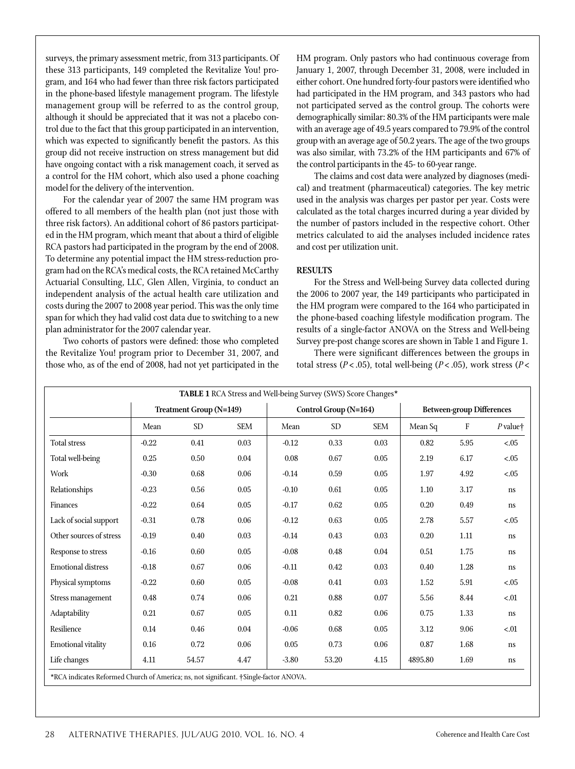surveys, the primary assessment metric, from 313 participants. Of these 313 participants, 149 completed the Revitalize You! program, and 164 who had fewer than three risk factors participated in the phone-based lifestyle management program. The lifestyle management group will be referred to as the control group, although it should be appreciated that it was not a placebo control due to the fact that this group participated in an intervention, which was expected to significantly benefit the pastors. As this group did not receive instruction on stress management but did have ongoing contact with a risk management coach, it served as a control for the HM cohort, which also used a phone coaching model for the delivery of the intervention.

For the calendar year of 2007 the same HM program was offered to all members of the health plan (not just those with three risk factors). An additional cohort of 86 pastors participated in the HM program, which meant that about a third of eligible RCA pastors had participated in the program by the end of 2008. To determine any potential impact the HM stress-reduction program had on the RCA's medical costs, the RCA retained McCarthy Actuarial Consulting, LLC, Glen Allen, Virginia, to conduct an independent analysis of the actual health care utilization and costs during the 2007 to 2008 year period. This was the only time span for which they had valid cost data due to switching to a new plan administrator for the 2007 calendar year.

Two cohorts of pastors were defined: those who completed the Revitalize You! program prior to December 31, 2007, and those who, as of the end of 2008, had not yet participated in the

HM program. Only pastors who had continuous coverage from January 1, 2007, through December 31, 2008, were included in either cohort. One hundred forty-four pastors were identified who had participated in the HM program, and 343 pastors who had not participated served as the control group. The cohorts were demographically similar: 80.3% of the HM participants were male with an average age of 49.5 years compared to 79.9% of the control group with an average age of 50.2 years. The age of the two groups was also similar, with 73.2% of the HM participants and 67% of the control participants in the 45- to 60-year range.

The claims and cost data were analyzed by diagnoses (medical) and treatment (pharmaceutical) categories. The key metric used in the analysis was charges per pastor per year. Costs were calculated as the total charges incurred during a year divided by the number of pastors included in the respective cohort. Other metrics calculated to aid the analyses included incidence rates and cost per utilization unit.

## **Results**

For the Stress and Well-being Survey data collected during the 2006 to 2007 year, the 149 participants who participated in the HM program were compared to the 164 who participated in the phone-based coaching lifestyle modification program. The results of a single-factor ANOVA on the Stress and Well-being Survey pre-post change scores are shown in Table 1 and Figure 1.

There were significant differences between the groups in total stress (*P* < .05), total well-being (*P* < .05), work stress (*P* <

| TABLE 1 RCA Stress and Well-being Survey (SWS) Score Changes*                         |                                |           |            |                       |                 |            |                                  |      |                     |
|---------------------------------------------------------------------------------------|--------------------------------|-----------|------------|-----------------------|-----------------|------------|----------------------------------|------|---------------------|
|                                                                                       | <b>Treatment Group (N=149)</b> |           |            | Control Group (N=164) |                 |            | <b>Between-group Differences</b> |      |                     |
|                                                                                       | Mean                           | <b>SD</b> | <b>SEM</b> | Mean                  | SD <sub>1</sub> | <b>SEM</b> | Mean Sq                          | F    | $P$ value $\dagger$ |
| <b>Total stress</b>                                                                   | $-0.22$                        | 0.41      | 0.03       | $-0.12$               | 0.33            | 0.03       | 0.82                             | 5.95 | < 0.05              |
| Total well-being                                                                      | 0.25                           | 0.50      | 0.04       | 0.08                  | 0.67            | 0.05       | 2.19                             | 6.17 | $<0.5$              |
| Work                                                                                  | $-0.30$                        | 0.68      | 0.06       | $-0.14$               | 0.59            | 0.05       | 1.97                             | 4.92 | $-.05$              |
| Relationships                                                                         | $-0.23$                        | 0.56      | 0.05       | $-0.10$               | 0.61            | 0.05       | 1.10                             | 3.17 | <sub>ns</sub>       |
| Finances                                                                              | $-0.22$                        | 0.64      | 0.05       | $-0.17$               | 0.62            | 0.05       | 0.20                             | 0.49 | ns                  |
| Lack of social support                                                                | $-0.31$                        | 0.78      | 0.06       | $-0.12$               | 0.63            | 0.05       | 2.78                             | 5.57 | < .05               |
| Other sources of stress                                                               | $-0.19$                        | 0.40      | 0.03       | $-0.14$               | 0.43            | 0.03       | 0.20                             | 1.11 | <sub>ns</sub>       |
| Response to stress                                                                    | $-0.16$                        | 0.60      | 0.05       | $-0.08$               | 0.48            | 0.04       | 0.51                             | 1.75 | ns                  |
| <b>Emotional distress</b>                                                             | $-0.18$                        | 0.67      | 0.06       | $-0.11$               | 0.42            | 0.03       | 0.40                             | 1.28 | <sub>ns</sub>       |
| Physical symptoms                                                                     | $-0.22$                        | 0.60      | 0.05       | $-0.08$               | 0.41            | 0.03       | 1.52                             | 5.91 | < 0.05              |
| Stress management                                                                     | 0.48                           | 0.74      | 0.06       | 0.21                  | 0.88            | 0.07       | 5.56                             | 8.44 | < 01                |
| Adaptability                                                                          | 0.21                           | 0.67      | 0.05       | 0.11                  | 0.82            | 0.06       | 0.75                             | 1.33 | <sub>ns</sub>       |
| Resilience                                                                            | 0.14                           | 0.46      | 0.04       | $-0.06$               | 0.68            | 0.05       | 3.12                             | 9.06 | < 0.01              |
| <b>Emotional vitality</b>                                                             | 0.16                           | 0.72      | 0.06       | 0.05                  | 0.73            | 0.06       | 0.87                             | 1.68 | <sub>ns</sub>       |
| Life changes                                                                          | 4.11                           | 54.57     | 4.47       | $-3.80$               | 53.20           | 4.15       | 4895.80                          | 1.69 | ns                  |
| *RCA indicates Reformed Church of America; ns, not significant. †Single-factor ANOVA. |                                |           |            |                       |                 |            |                                  |      |                     |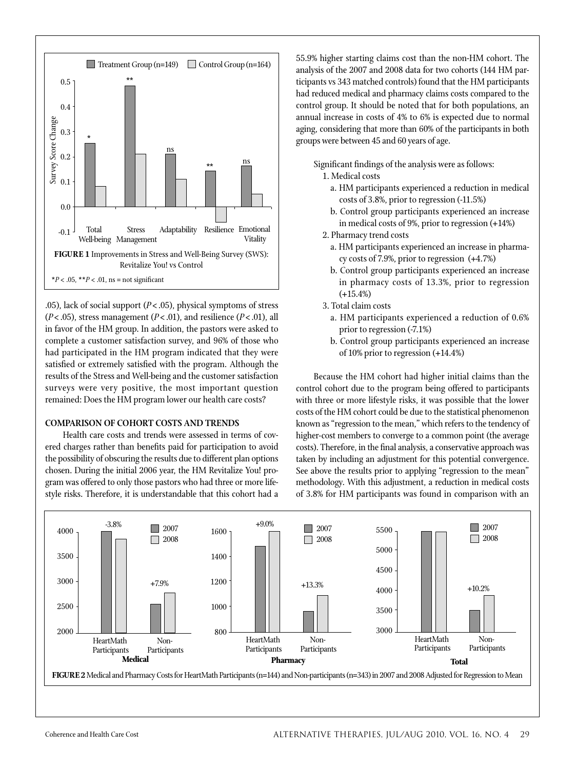

.05), lack of social support (*P*<.05), physical symptoms of stress (*P*<.05), stress management (*P*<.01), and resilience (*P*<.01), all in favor of the HM group. In addition, the pastors were asked to complete a customer satisfaction survey, and 96% of those who had participated in the HM program indicated that they were satisfied or extremely satisfied with the program. Although the results of the Stress and Well-being and the customer satisfaction surveys were very positive, the most important question remained: Does the HM program lower our health care costs?

## **Comparison of cohort costs and trends**

Health care costs and trends were assessed in terms of covered charges rather than benefits paid for participation to avoid the possibility of obscuring the results due to different plan options chosen. During the initial 2006 year, the HM Revitalize You! program was offered to only those pastors who had three or more lifestyle risks. Therefore, it is understandable that this cohort had a

55.9% higher starting claims cost than the non-HM cohort. The analysis of the 2007 and 2008 data for two cohorts (144 HM participants vs 343 matched controls) found that the HM participants had reduced medical and pharmacy claims costs compared to the control group. It should be noted that for both populations, an annual increase in costs of 4% to 6% is expected due to normal aging, considering that more than 60% of the participants in both groups were between 45 and 60 years of age.

Significant findings of the analysis were as follows:

1. Medical costs

- a. HM participants experienced a reduction in medical costs of 3.8%, prior to regression (-11.5%)
- b. Control group participants experienced an increase in medical costs of 9%, prior to regression (+14%)
- 2. Pharmacy trend costs
	- a. HM participants experienced an increase in pharmacy costs of 7.9%, prior to regression (+4.7%)
	- b. Control group participants experienced an increase in pharmacy costs of 13.3%, prior to regression (+15.4%)
- 3. Total claim costs
	- a. HM participants experienced a reduction of 0.6% prior to regression (-7.1%)
	- b. Control group participants experienced an increase of 10% prior to regression (+14.4%)

Because the HM cohort had higher initial claims than the control cohort due to the program being offered to participants with three or more lifestyle risks, it was possible that the lower costs of the HM cohort could be due to the statistical phenomenon known as "regression to the mean," which refers to the tendency of higher-cost members to converge to a common point (the average costs). Therefore, in the final analysis, a conservative approach was taken by including an adjustment for this potential convergence. See above the results prior to applying "regression to the mean" methodology. With this adjustment, a reduction in medical costs of 3.8% for HM participants was found in comparison with an

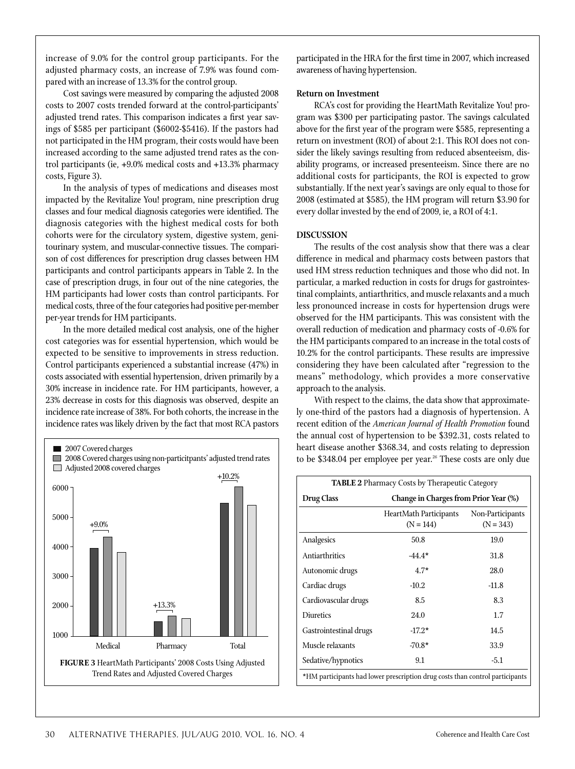increase of 9.0% for the control group participants. For the adjusted pharmacy costs, an increase of 7.9% was found compared with an increase of 13.3% for the control group.

Cost savings were measured by comparing the adjusted 2008 costs to 2007 costs trended forward at the control-participants' adjusted trend rates. This comparison indicates a first year savings of \$585 per participant (\$6002-\$5416). If the pastors had not participated in the HM program, their costs would have been increased according to the same adjusted trend rates as the control participants (ie, +9.0% medical costs and +13.3% pharmacy costs, Figure 3).

In the analysis of types of medications and diseases most impacted by the Revitalize You! program, nine prescription drug classes and four medical diagnosis categories were identified. The diagnosis categories with the highest medical costs for both cohorts were for the circulatory system, digestive system, genitourinary system, and muscular-connective tissues. The comparison of cost differences for prescription drug classes between HM participants and control participants appears in Table 2. In the case of prescription drugs, in four out of the nine categories, the HM participants had lower costs than control participants. For medical costs, three of the four categories had positive per-member per-year trends for HM participants.

In the more detailed medical cost analysis, one of the higher cost categories was for essential hypertension, which would be expected to be sensitive to improvements in stress reduction. Control participants experienced a substantial increase (47%) in costs associated with essential hypertension, driven primarily by a 30% increase in incidence rate. For HM participants, however, a 23% decrease in costs for this diagnosis was observed, despite an incidence rate increase of 38%. For both cohorts, the increase in the incidence rates was likely driven by the fact that most RCA pastors



participated in the HRA for the first time in 2007, which increased awareness of having hypertension.

## **Return on Investment**

RCA's cost for providing the HeartMath Revitalize You! program was \$300 per participating pastor. The savings calculated above for the first year of the program were \$585, representing a return on investment (ROI) of about 2:1. This ROI does not consider the likely savings resulting from reduced absenteeism, disability programs, or increased presenteeism. Since there are no additional costs for participants, the ROI is expected to grow substantially. If the next year's savings are only equal to those for 2008 (estimated at \$585), the HM program will return \$3.90 for every dollar invested by the end of 2009, ie, a ROI of 4:1.

### **Discussion**

The results of the cost analysis show that there was a clear difference in medical and pharmacy costs between pastors that used HM stress reduction techniques and those who did not. In particular, a marked reduction in costs for drugs for gastrointestinal complaints, antiarthritics, and muscle relaxants and a much less pronounced increase in costs for hypertension drugs were observed for the HM participants. This was consistent with the overall reduction of medication and pharmacy costs of -0.6% for the HM participants compared to an increase in the total costs of 10.2% for the control participants. These results are impressive considering they have been calculated after "regression to the means" methodology, which provides a more conservative approach to the analysis.

With respect to the claims, the data show that approximately one-third of the pastors had a diagnosis of hypertension. A recent edition of the *American Journal of Health Promotion* found the annual cost of hypertension to be \$392.31, costs related to heart disease another \$368.34, and costs relating to depression to be \$348.04 per employee per year.<sup>26</sup> These costs are only due

| <b>TABLE 2</b> Pharmacy Costs by Therapeutic Category |                                                                              |                                 |  |  |  |  |  |
|-------------------------------------------------------|------------------------------------------------------------------------------|---------------------------------|--|--|--|--|--|
| <b>Drug Class</b>                                     | <b>Change in Charges from Prior Year (%)</b>                                 |                                 |  |  |  |  |  |
|                                                       | <b>HeartMath Participants</b><br>$(N = 144)$                                 | Non-Participants<br>$(N = 343)$ |  |  |  |  |  |
| Analgesics                                            | 50.8                                                                         | 19.0                            |  |  |  |  |  |
| Antiarthritics                                        | $-44.4*$                                                                     | 31.8                            |  |  |  |  |  |
| Autonomic drugs                                       | $4.7*$                                                                       | 28.0                            |  |  |  |  |  |
| Cardiac drugs                                         | $-10.2$                                                                      | $-11.8$                         |  |  |  |  |  |
| Cardiovascular drugs                                  | 8.5                                                                          | 8.3                             |  |  |  |  |  |
| <b>Diuretics</b>                                      | 24.0                                                                         | 1.7                             |  |  |  |  |  |
| Gastrointestinal drugs                                | $-17.2*$                                                                     | 14.5                            |  |  |  |  |  |
| Muscle relaxants                                      | $-70.8*$                                                                     | 33.9                            |  |  |  |  |  |
| Sedative/hypnotics                                    | 9.1                                                                          | $-5.1$                          |  |  |  |  |  |
|                                                       | *HM participants had lower prescription drug costs than control participants |                                 |  |  |  |  |  |